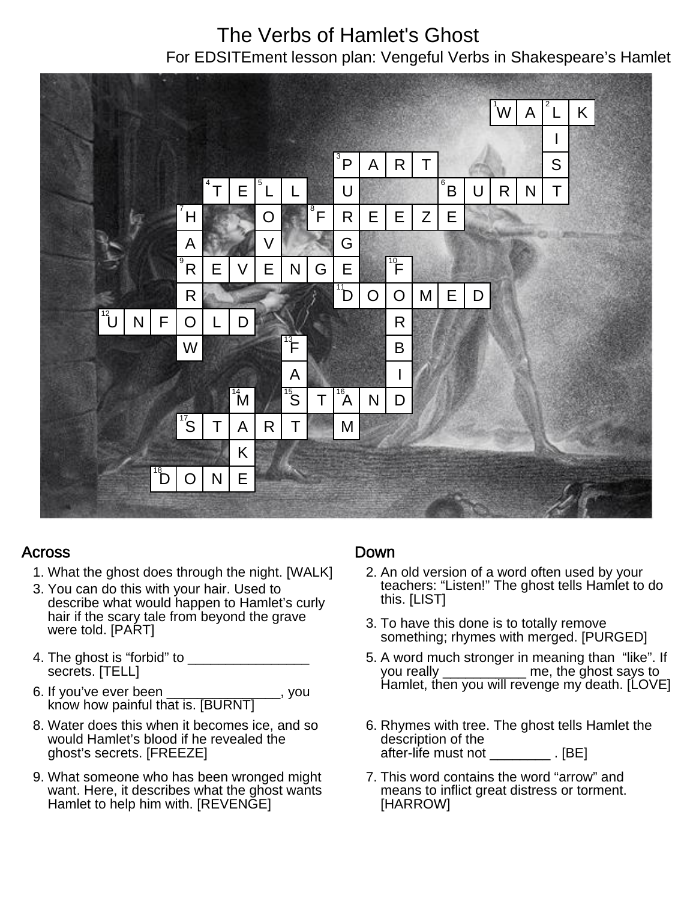# The Verbs of Hamlet's Ghost

For EDSITEment lesson plan: Vengeful Verbs in Shakespeare's Hamlet



## Across

- 1. What the ghost does through the night. [WALK]
- 3. You can do this with your hair. Used to describe what would happen to Hamlet's curly hair if the scary tale from beyond the grave were told. [PART]
- 4. The ghost is "forbid" to secrets. [TELL]
- 6. If you've ever been \_\_\_\_\_\_\_\_\_\_\_\_\_\_\_, you know how painful that is. [BURNT]
- 8. Water does this when it becomes ice, and so would Hamlet's blood if he revealed the ghost's secrets. [FREEZE]
- 9. What someone who has been wronged might want. Here, it describes what the ghost wants Hamlet to help him with. [REVENGE]

## Down

- 2. An old version of a word often used by your teachers: "Listen!" The ghost tells Hamlet to do this. [LIST]
- 3. To have this done is to totally remove something; rhymes with merged. [PURGED]
- 5. A word much stronger in meaning than "like". If you really **the ghost says to** Hamlet, then you will revenge my death. [LOVE]
- 6. Rhymes with tree. The ghost tells Hamlet the description of the absomption of the conservation of the set of the set of the set of the set of the set of the set of the set of
- 7. This word contains the word "arrow" and means to inflict great distress or torment. [HARROW]